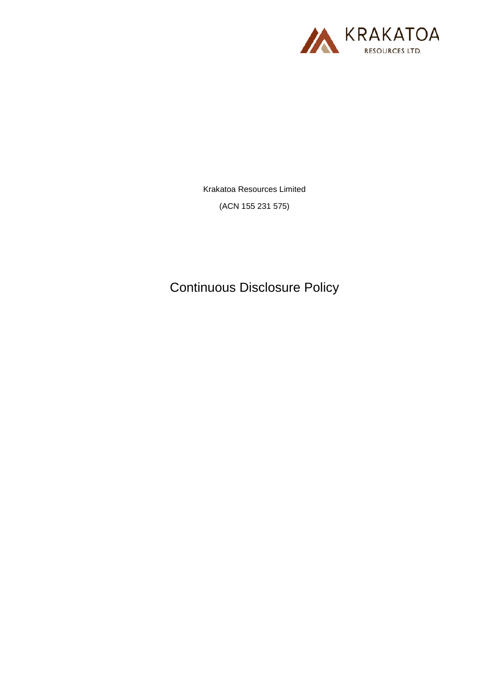

Krakatoa Resources Limited

(ACN 155 231 575)

Continuous Disclosure Policy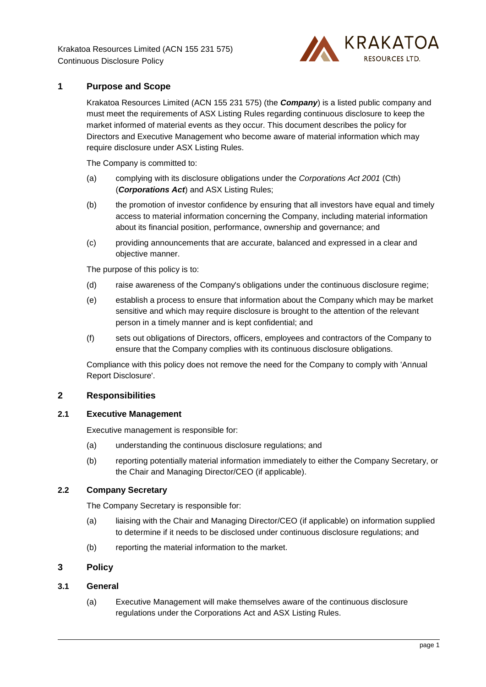

# **1 Purpose and Scope**

Krakatoa Resources Limited (ACN 155 231 575) (the *Company*) is a listed public company and must meet the requirements of ASX Listing Rules regarding continuous disclosure to keep the market informed of material events as they occur. This document describes the policy for Directors and Executive Management who become aware of material information which may require disclosure under ASX Listing Rules.

The Company is committed to:

- (a) complying with its disclosure obligations under the *Corporations Act 2001* (Cth) (*Corporations Act*) and ASX Listing Rules;
- (b) the promotion of investor confidence by ensuring that all investors have equal and timely access to material information concerning the Company, including material information about its financial position, performance, ownership and governance; and
- (c) providing announcements that are accurate, balanced and expressed in a clear and objective manner.

The purpose of this policy is to:

- (d) raise awareness of the Company's obligations under the continuous disclosure regime;
- (e) establish a process to ensure that information about the Company which may be market sensitive and which may require disclosure is brought to the attention of the relevant person in a timely manner and is kept confidential; and
- (f) sets out obligations of Directors, officers, employees and contractors of the Company to ensure that the Company complies with its continuous disclosure obligations.

Compliance with this policy does not remove the need for the Company to comply with 'Annual Report Disclosure'.

#### **2 Responsibilities**

#### **2.1 Executive Management**

Executive management is responsible for:

- (a) understanding the continuous disclosure regulations; and
- (b) reporting potentially material information immediately to either the Company Secretary, or the Chair and Managing Director/CEO (if applicable).

## **2.2 Company Secretary**

The Company Secretary is responsible for:

- (a) liaising with the Chair and Managing Director/CEO (if applicable) on information supplied to determine if it needs to be disclosed under continuous disclosure regulations; and
- (b) reporting the material information to the market.

## **3 Policy**

### **3.1 General**

(a) Executive Management will make themselves aware of the continuous disclosure regulations under the Corporations Act and ASX Listing Rules.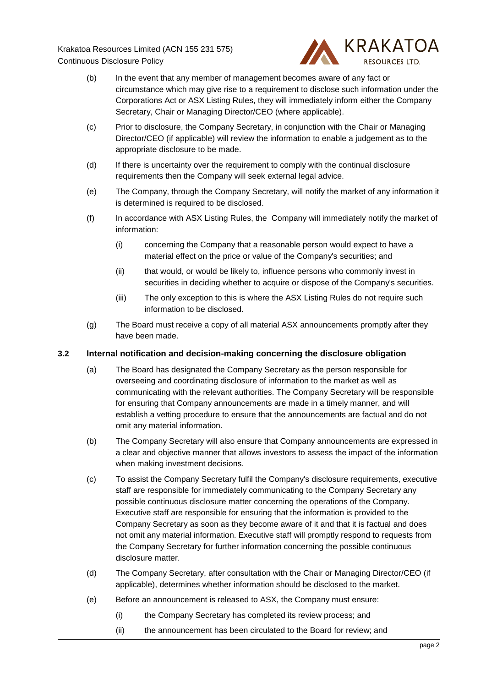

- (b) In the event that any member of management becomes aware of any fact or circumstance which may give rise to a requirement to disclose such information under the Corporations Act or ASX Listing Rules, they will immediately inform either the Company Secretary, Chair or Managing Director/CEO (where applicable).
- (c) Prior to disclosure, the Company Secretary, in conjunction with the Chair or Managing Director/CEO (if applicable) will review the information to enable a judgement as to the appropriate disclosure to be made.
- (d) If there is uncertainty over the requirement to comply with the continual disclosure requirements then the Company will seek external legal advice.
- (e) The Company, through the Company Secretary, will notify the market of any information it is determined is required to be disclosed.
- (f) In accordance with ASX Listing Rules, the Company will immediately notify the market of information:
	- (i) concerning the Company that a reasonable person would expect to have a material effect on the price or value of the Company's securities; and
	- (ii) that would, or would be likely to, influence persons who commonly invest in securities in deciding whether to acquire or dispose of the Company's securities.
	- (iii) The only exception to this is where the ASX Listing Rules do not require such information to be disclosed.
- (g) The Board must receive a copy of all material ASX announcements promptly after they have been made.

#### **3.2 Internal notification and decision-making concerning the disclosure obligation**

- (a) The Board has designated the Company Secretary as the person responsible for overseeing and coordinating disclosure of information to the market as well as communicating with the relevant authorities. The Company Secretary will be responsible for ensuring that Company announcements are made in a timely manner, and will establish a vetting procedure to ensure that the announcements are factual and do not omit any material information.
- (b) The Company Secretary will also ensure that Company announcements are expressed in a clear and objective manner that allows investors to assess the impact of the information when making investment decisions.
- (c) To assist the Company Secretary fulfil the Company's disclosure requirements, executive staff are responsible for immediately communicating to the Company Secretary any possible continuous disclosure matter concerning the operations of the Company. Executive staff are responsible for ensuring that the information is provided to the Company Secretary as soon as they become aware of it and that it is factual and does not omit any material information. Executive staff will promptly respond to requests from the Company Secretary for further information concerning the possible continuous disclosure matter.
- (d) The Company Secretary, after consultation with the Chair or Managing Director/CEO (if applicable), determines whether information should be disclosed to the market.
- (e) Before an announcement is released to ASX, the Company must ensure:
	- (i) the Company Secretary has completed its review process; and
	- (ii) the announcement has been circulated to the Board for review; and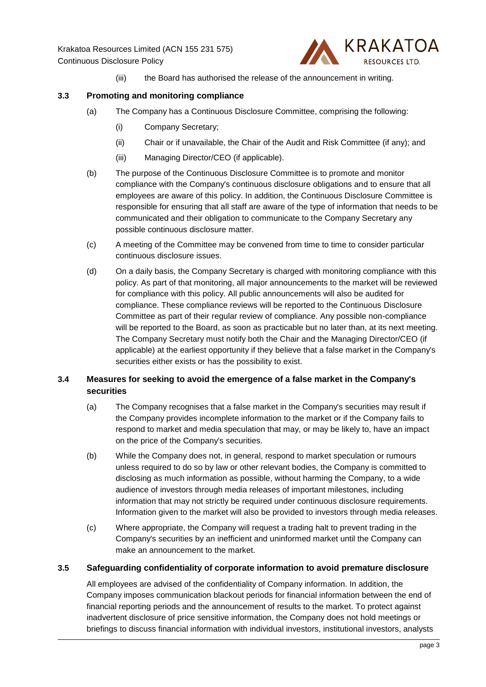

(iii) the Board has authorised the release of the announcement in writing.

## **3.3 Promoting and monitoring compliance**

- (a) The Company has a Continuous Disclosure Committee, comprising the following:
	- (i) Company Secretary;
	- (ii) Chair or if unavailable, the Chair of the Audit and Risk Committee (if any); and
	- (iii) Managing Director/CEO (if applicable).
- (b) The purpose of the Continuous Disclosure Committee is to promote and monitor compliance with the Company's continuous disclosure obligations and to ensure that all employees are aware of this policy. In addition, the Continuous Disclosure Committee is responsible for ensuring that all staff are aware of the type of information that needs to be communicated and their obligation to communicate to the Company Secretary any possible continuous disclosure matter.
- (c) A meeting of the Committee may be convened from time to time to consider particular continuous disclosure issues.
- (d) On a daily basis, the Company Secretary is charged with monitoring compliance with this policy. As part of that monitoring, all major announcements to the market will be reviewed for compliance with this policy. All public announcements will also be audited for compliance. These compliance reviews will be reported to the Continuous Disclosure Committee as part of their regular review of compliance. Any possible non-compliance will be reported to the Board, as soon as practicable but no later than, at its next meeting. The Company Secretary must notify both the Chair and the Managing Director/CEO (if applicable) at the earliest opportunity if they believe that a false market in the Company's securities either exists or has the possibility to exist.

# **3.4 Measures for seeking to avoid the emergence of a false market in the Company's securities**

- (a) The Company recognises that a false market in the Company's securities may result if the Company provides incomplete information to the market or if the Company fails to respond to market and media speculation that may, or may be likely to, have an impact on the price of the Company's securities.
- (b) While the Company does not, in general, respond to market speculation or rumours unless required to do so by law or other relevant bodies, the Company is committed to disclosing as much information as possible, without harming the Company, to a wide audience of investors through media releases of important milestones, including information that may not strictly be required under continuous disclosure requirements. Information given to the market will also be provided to investors through media releases.
- (c) Where appropriate, the Company will request a trading halt to prevent trading in the Company's securities by an inefficient and uninformed market until the Company can make an announcement to the market.

### **3.5 Safeguarding confidentiality of corporate information to avoid premature disclosure**

All employees are advised of the confidentiality of Company information. In addition, the Company imposes communication blackout periods for financial information between the end of financial reporting periods and the announcement of results to the market. To protect against inadvertent disclosure of price sensitive information, the Company does not hold meetings or briefings to discuss financial information with individual investors, institutional investors, analysts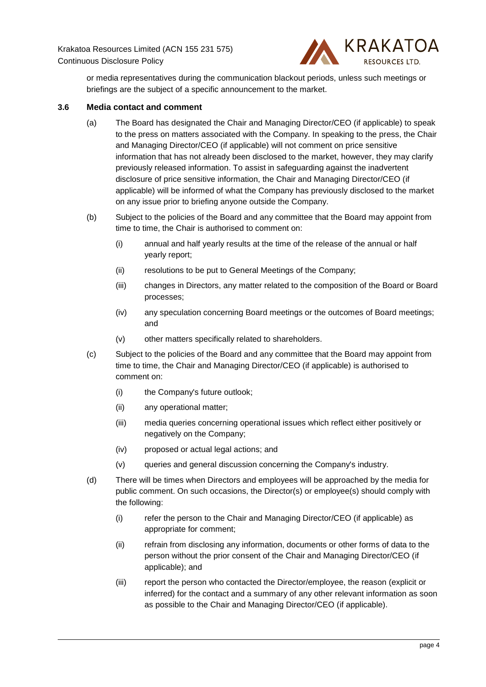

or media representatives during the communication blackout periods, unless such meetings or briefings are the subject of a specific announcement to the market.

### **3.6 Media contact and comment**

- (a) The Board has designated the Chair and Managing Director/CEO (if applicable) to speak to the press on matters associated with the Company. In speaking to the press, the Chair and Managing Director/CEO (if applicable) will not comment on price sensitive information that has not already been disclosed to the market, however, they may clarify previously released information. To assist in safeguarding against the inadvertent disclosure of price sensitive information, the Chair and Managing Director/CEO (if applicable) will be informed of what the Company has previously disclosed to the market on any issue prior to briefing anyone outside the Company.
- (b) Subject to the policies of the Board and any committee that the Board may appoint from time to time, the Chair is authorised to comment on:
	- (i) annual and half yearly results at the time of the release of the annual or half yearly report;
	- (ii) resolutions to be put to General Meetings of the Company;
	- (iii) changes in Directors, any matter related to the composition of the Board or Board processes;
	- (iv) any speculation concerning Board meetings or the outcomes of Board meetings; and
	- (v) other matters specifically related to shareholders.
- (c) Subject to the policies of the Board and any committee that the Board may appoint from time to time, the Chair and Managing Director/CEO (if applicable) is authorised to comment on:
	- (i) the Company's future outlook;
	- (ii) any operational matter;
	- (iii) media queries concerning operational issues which reflect either positively or negatively on the Company;
	- (iv) proposed or actual legal actions; and
	- (v) queries and general discussion concerning the Company's industry.
- (d) There will be times when Directors and employees will be approached by the media for public comment. On such occasions, the Director(s) or employee(s) should comply with the following:
	- (i) refer the person to the Chair and Managing Director/CEO (if applicable) as appropriate for comment;
	- (ii) refrain from disclosing any information, documents or other forms of data to the person without the prior consent of the Chair and Managing Director/CEO (if applicable); and
	- (iii) report the person who contacted the Director/employee, the reason (explicit or inferred) for the contact and a summary of any other relevant information as soon as possible to the Chair and Managing Director/CEO (if applicable).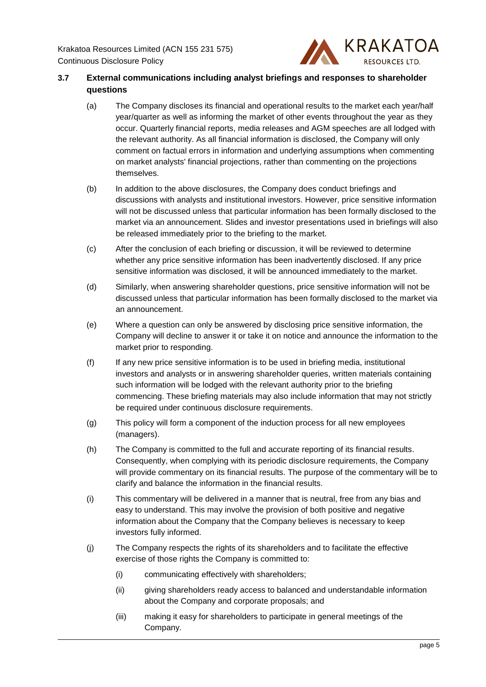

# **3.7 External communications including analyst briefings and responses to shareholder questions**

- (a) The Company discloses its financial and operational results to the market each year/half year/quarter as well as informing the market of other events throughout the year as they occur. Quarterly financial reports, media releases and AGM speeches are all lodged with the relevant authority. As all financial information is disclosed, the Company will only comment on factual errors in information and underlying assumptions when commenting on market analysts' financial projections, rather than commenting on the projections themselves.
- (b) In addition to the above disclosures, the Company does conduct briefings and discussions with analysts and institutional investors. However, price sensitive information will not be discussed unless that particular information has been formally disclosed to the market via an announcement. Slides and investor presentations used in briefings will also be released immediately prior to the briefing to the market.
- (c) After the conclusion of each briefing or discussion, it will be reviewed to determine whether any price sensitive information has been inadvertently disclosed. If any price sensitive information was disclosed, it will be announced immediately to the market.
- (d) Similarly, when answering shareholder questions, price sensitive information will not be discussed unless that particular information has been formally disclosed to the market via an announcement.
- (e) Where a question can only be answered by disclosing price sensitive information, the Company will decline to answer it or take it on notice and announce the information to the market prior to responding.
- (f) If any new price sensitive information is to be used in briefing media, institutional investors and analysts or in answering shareholder queries, written materials containing such information will be lodged with the relevant authority prior to the briefing commencing. These briefing materials may also include information that may not strictly be required under continuous disclosure requirements.
- (g) This policy will form a component of the induction process for all new employees (managers).
- (h) The Company is committed to the full and accurate reporting of its financial results. Consequently, when complying with its periodic disclosure requirements, the Company will provide commentary on its financial results. The purpose of the commentary will be to clarify and balance the information in the financial results.
- (i) This commentary will be delivered in a manner that is neutral, free from any bias and easy to understand. This may involve the provision of both positive and negative information about the Company that the Company believes is necessary to keep investors fully informed.
- (j) The Company respects the rights of its shareholders and to facilitate the effective exercise of those rights the Company is committed to:
	- (i) communicating effectively with shareholders;
	- (ii) giving shareholders ready access to balanced and understandable information about the Company and corporate proposals; and
	- (iii) making it easy for shareholders to participate in general meetings of the Company.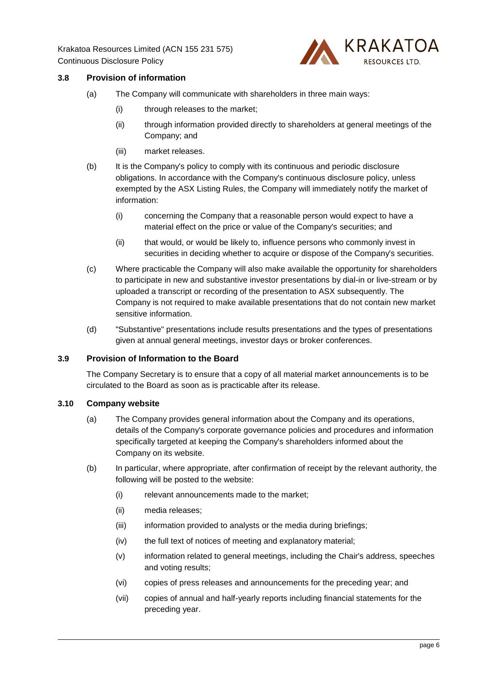

# **3.8 Provision of information**

- (a) The Company will communicate with shareholders in three main ways:
	- (i) through releases to the market;
	- (ii) through information provided directly to shareholders at general meetings of the Company; and
	- (iii) market releases.
- (b) It is the Company's policy to comply with its continuous and periodic disclosure obligations. In accordance with the Company's continuous disclosure policy, unless exempted by the ASX Listing Rules, the Company will immediately notify the market of information:
	- (i) concerning the Company that a reasonable person would expect to have a material effect on the price or value of the Company's securities; and
	- (ii) that would, or would be likely to, influence persons who commonly invest in securities in deciding whether to acquire or dispose of the Company's securities.
- (c) Where practicable the Company will also make available the opportunity for shareholders to participate in new and substantive investor presentations by dial-in or live-stream or by uploaded a transcript or recording of the presentation to ASX subsequently. The Company is not required to make available presentations that do not contain new market sensitive information.
- (d) "Substantive" presentations include results presentations and the types of presentations given at annual general meetings, investor days or broker conferences.

#### **3.9 Provision of Information to the Board**

The Company Secretary is to ensure that a copy of all material market announcements is to be circulated to the Board as soon as is practicable after its release.

#### **3.10 Company website**

- (a) The Company provides general information about the Company and its operations, details of the Company's corporate governance policies and procedures and information specifically targeted at keeping the Company's shareholders informed about the Company on its website.
- (b) In particular, where appropriate, after confirmation of receipt by the relevant authority, the following will be posted to the website:
	- (i) relevant announcements made to the market;
	- (ii) media releases;
	- (iii) information provided to analysts or the media during briefings;
	- (iv) the full text of notices of meeting and explanatory material;
	- (v) information related to general meetings, including the Chair's address, speeches and voting results;
	- (vi) copies of press releases and announcements for the preceding year; and
	- (vii) copies of annual and half-yearly reports including financial statements for the preceding year.